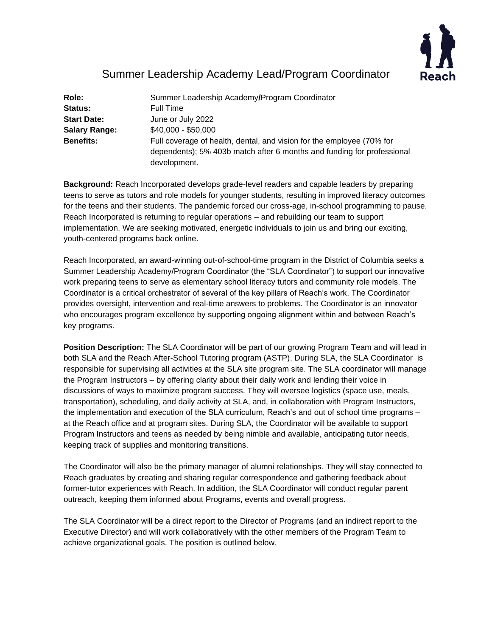

# Summer Leadership Academy Lead/Program Coordinator

| Role:                | Summer Leadership Academy/Program Coordinator                                                                                                                   |
|----------------------|-----------------------------------------------------------------------------------------------------------------------------------------------------------------|
| <b>Status:</b>       | <b>Full Time</b>                                                                                                                                                |
| <b>Start Date:</b>   | June or July 2022                                                                                                                                               |
| <b>Salary Range:</b> | $$40,000 - $50,000$                                                                                                                                             |
| <b>Benefits:</b>     | Full coverage of health, dental, and vision for the employee (70% for<br>dependents); 5% 403b match after 6 months and funding for professional<br>development. |

**Background:** Reach Incorporated develops grade-level readers and capable leaders by preparing teens to serve as tutors and role models for younger students, resulting in improved literacy outcomes for the teens and their students. The pandemic forced our cross-age, in-school programming to pause. Reach Incorporated is returning to regular operations – and rebuilding our team to support implementation. We are seeking motivated, energetic individuals to join us and bring our exciting, youth-centered programs back online.

Reach Incorporated, an award-winning out-of-school-time program in the District of Columbia seeks a Summer Leadership Academy/Program Coordinator (the "SLA Coordinator") to support our innovative work preparing teens to serve as elementary school literacy tutors and community role models. The Coordinator is a critical orchestrator of several of the key pillars of Reach's work. The Coordinator provides oversight, intervention and real-time answers to problems. The Coordinator is an innovator who encourages program excellence by supporting ongoing alignment within and between Reach's key programs.

**Position Description:** The SLA Coordinator will be part of our growing Program Team and will lead in both SLA and the Reach After-School Tutoring program (ASTP). During SLA, the SLA Coordinator is responsible for supervising all activities at the SLA site program site. The SLA coordinator will manage the Program Instructors – by offering clarity about their daily work and lending their voice in discussions of ways to maximize program success. They will oversee logistics (space use, meals, transportation), scheduling, and daily activity at SLA, and, in collaboration with Program Instructors, the implementation and execution of the SLA curriculum, Reach's and out of school time programs – at the Reach office and at program sites. During SLA, the Coordinator will be available to support Program Instructors and teens as needed by being nimble and available, anticipating tutor needs, keeping track of supplies and monitoring transitions.

The Coordinator will also be the primary manager of alumni relationships. They will stay connected to Reach graduates by creating and sharing regular correspondence and gathering feedback about former-tutor experiences with Reach. In addition, the SLA Coordinator will conduct regular parent outreach, keeping them informed about Programs, events and overall progress.

The SLA Coordinator will be a direct report to the Director of Programs (and an indirect report to the Executive Director) and will work collaboratively with the other members of the Program Team to achieve organizational goals. The position is outlined below.